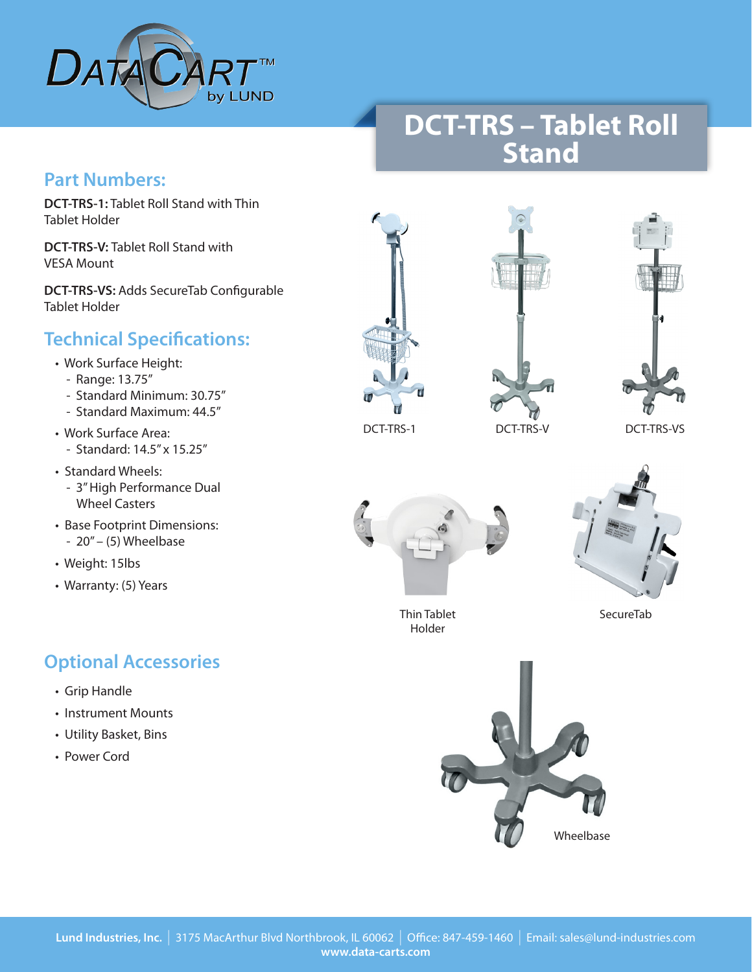

## **DCT-TRS – Tablet Roll Stand**

#### **Part Numbers:**

**DCT-TRS-1:** Tablet Roll Stand with Thin Tablet Holder

**DCT-TRS-V:** Tablet Roll Stand with VESA Mount

**DCT-TRS-VS:** Adds SecureTab Configurable Tablet Holder

### **Technical Specifications:**

- Work Surface Height:
	- Range: 13.75"
	- Standard Minimum: 30.75"
	- Standard Maximum: 44.5"
- Work Surface Area: - Standard: 14.5" x 15.25"
- Standard Wheels:
	- 3" High Performance Dual Wheel Casters
- Base Footprint Dimensions: - 20" – (5) Wheelbase
- Weight: 15lbs
- Warranty: (5) Years

### **Optional Accessories**

- Grip Handle
- Instrument Mounts
- Utility Basket, Bins
- Power Cord









Thin Tablet SecureTab Holder